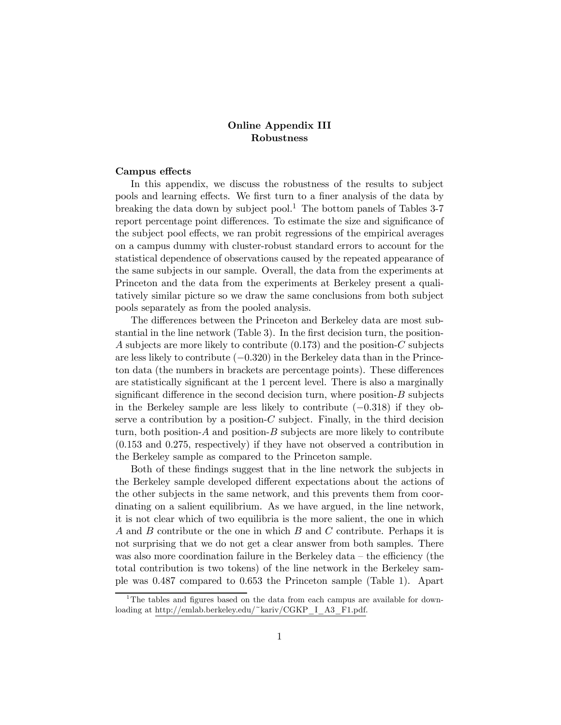## Online Appendix III Robustness

## Campus effects

In this appendix, we discuss the robustness of the results to subject pools and learning effects. We first turn to a finer analysis of the data by breaking the data down by subject pool.<sup>1</sup> The bottom panels of Tables  $3-7$ report percentage point differences. To estimate the size and significance of the subject pool effects, we ran probit regressions of the empirical averages on a campus dummy with cluster-robust standard errors to account for the statistical dependence of observations caused by the repeated appearance of the same subjects in our sample. Overall, the data from the experiments at Princeton and the data from the experiments at Berkeley present a qualitatively similar picture so we draw the same conclusions from both subject pools separately as from the pooled analysis.

The differences between the Princeton and Berkeley data are most substantial in the line network (Table 3). In the first decision turn, the position- A subjects are more likely to contribute  $(0.173)$  and the position-C subjects are less likely to contribute (−0320) in the Berkeley data than in the Princeton data (the numbers in brackets are percentage points). These differences are statistically significant at the 1 percent level. There is also a marginally significant difference in the second decision turn, where position- $B$  subjects in the Berkeley sample are less likely to contribute (−0318) if they observe a contribution by a position- $C$  subject. Finally, in the third decision turn, both position- $A$  and position- $B$  subjects are more likely to contribute  $(0.153 \text{ and } 0.275, \text{ respectively})$  if they have not observed a contribution in the Berkeley sample as compared to the Princeton sample.

Both of these findings suggest that in the line network the subjects in the Berkeley sample developed different expectations about the actions of the other subjects in the same network, and this prevents them from coordinating on a salient equilibrium. As we have argued, in the line network, it is not clear which of two equilibria is the more salient, the one in which A and B contribute or the one in which  $B$  and  $C$  contribute. Perhaps it is not surprising that we do not get a clear answer from both samples. There was also more coordination failure in the Berkeley data — the efficiency (the total contribution is two tokens) of the line network in the Berkeley sample was 0487 compared to 0653 the Princeton sample (Table 1). Apart

 $1$ <sup>1</sup>The tables and figures based on the data from each campus are available for downloading at http://emlab.berkeley.edu/~kariv/CGKP\_I\_A3\_F1.pdf.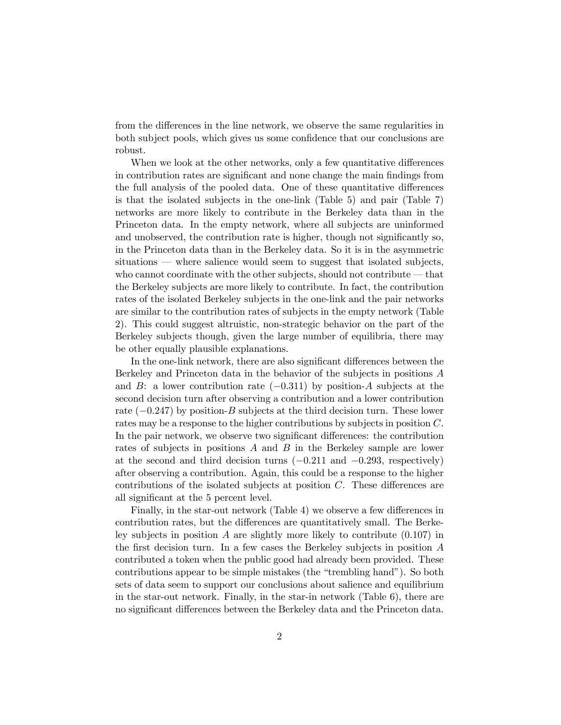from the differences in the line network, we observe the same regularities in both subject pools, which gives us some confidence that our conclusions are robust.

When we look at the other networks, only a few quantitative differences in contribution rates are significant and none change the main findings from the full analysis of the pooled data. One of these quantitative differences is that the isolated subjects in the one-link (Table 5) and pair (Table 7) networks are more likely to contribute in the Berkeley data than in the Princeton data. In the empty network, where all subjects are uninformed and unobserved, the contribution rate is higher, though not significantly so, in the Princeton data than in the Berkeley data. So it is in the asymmetric situations – where salience would seem to suggest that isolated subjects, who cannot coordinate with the other subjects, should not contribute – that the Berkeley subjects are more likely to contribute. In fact, the contribution rates of the isolated Berkeley subjects in the one-link and the pair networks are similar to the contribution rates of subjects in the empty network (Table 2). This could suggest altruistic, non-strategic behavior on the part of the Berkeley subjects though, given the large number of equilibria, there may be other equally plausible explanations.

In the one-link network, there are also significant differences between the Berkeley and Princeton data in the behavior of the subjects in positions  $A$ and  $B$ : a lower contribution rate  $(-0.311)$  by position-A subjects at the second decision turn after observing a contribution and a lower contribution rate  $(-0.247)$  by position-B subjects at the third decision turn. These lower rates may be a response to the higher contributions by subjects in position C. In the pair network, we observe two significant differences: the contribution rates of subjects in positions  $A$  and  $B$  in the Berkeley sample are lower at the second and third decision turns  $(-0.211 \text{ and } -0.293, \text{ respectively})$ after observing a contribution. Again, this could be a response to the higher contributions of the isolated subjects at position  $C$ . These differences are all significant at the 5 percent level.

Finally, in the star-out network (Table 4) we observe a few differences in contribution rates, but the differences are quantitatively small. The Berkeley subjects in position A are slightly more likely to contribute  $(0.107)$  in the first decision turn. In a few cases the Berkeley subjects in position  $A$ contributed a token when the public good had already been provided. These contributions appear to be simple mistakes (the "trembling hand"). So both sets of data seem to support our conclusions about salience and equilibrium in the star-out network. Finally, in the star-in network (Table 6), there are no significant differences between the Berkeley data and the Princeton data.